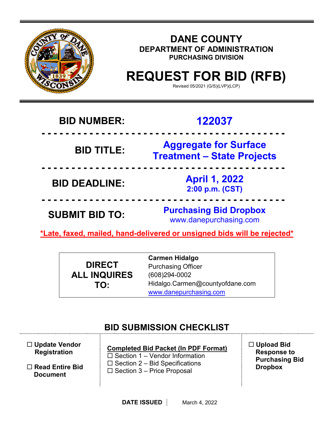

## **DANE COUNTY DEPARTMENT OF ADMINISTRATION PURCHASING DIVISION**

# **REQUEST FOR BID (RFB)**

Revised 05/2021 (G/S)(LVP)(LCP)

## **BID NUMBER: 122037**

## **- - - - - - - - - - - - - - - - - - - - - - - - - - - - - - - - - - - - - - - - - BID TITLE: Aggregate for Surface Treatment – State Projects**

 **- - - - - - - - - - - - - - - - - - - - - - - - - - - - - - - - - - - - - - - - - BID DEADLINE: April 1, 2022 2:00 p.m. (CST)**

**SUBMIT BID TO: Purchasing Bid Dropbox** www.danepurchasing.com

**\*Late, faxed, mailed, hand-delivered or unsigned bids will be rejected\*** 

 **- - - - - - - - - - - - - - - - - - - - - - - - - - - - - - - - - - - - - - - - -**

|                     | <b>Carmen Hidalgo</b>           |
|---------------------|---------------------------------|
| <b>DIRECT</b>       | <b>Purchasing Officer</b>       |
| <b>ALL INQUIRES</b> | (608)294-0002                   |
| TO:                 | Hidalgo.Carmen@countyofdane.com |
|                     | www.danepurchasing.com          |

## **BID SUBMISSION CHECKLIST**

| $\Box$ Update Vendor |  |  |  |  |
|----------------------|--|--|--|--|
| <b>Registration</b>  |  |  |  |  |

 **Read Entire Bid Document**

## **Completed Bid Packet (In PDF Format)**

 $\square$  Section 1 – Vendor Information  $\square$  Section 2 – Bid Specifications  $\square$  Section 3 – Price Proposal

 **Upload Bid Response to Purchasing Bid Dropbox**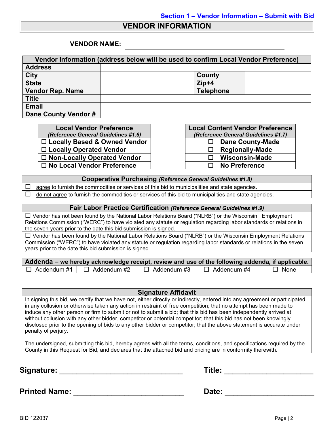#### **VENDOR INFORMATION**

#### **VENDOR NAME:**

| Vendor Information (address below will be used to confirm Local Vendor Preference) |                  |  |  |  |
|------------------------------------------------------------------------------------|------------------|--|--|--|
| <b>Address</b>                                                                     |                  |  |  |  |
| <b>City</b>                                                                        | County           |  |  |  |
| <b>State</b>                                                                       | $Zip+4$          |  |  |  |
| <b>Vendor Rep. Name</b>                                                            | <b>Telephone</b> |  |  |  |
| <b>Title</b>                                                                       |                  |  |  |  |
| <b>Email</b>                                                                       |                  |  |  |  |
| Dane County Vendor #                                                               |                  |  |  |  |

**Local Vendor Preference** *(Reference General Guidelines #1.6)* □ Locally Based & Owned Vendor **Locally Operated Vendor □ Non-Locally Operated Vendor No Local Vendor Preference No Preference**

|              | <b>Local Content Vendor Preference</b> |
|--------------|----------------------------------------|
|              | (Reference General Guidelines #1.7)    |
| ⊔            | <b>Dane County-Made</b>                |
| Ħ            | <b>Regionally-Made</b>                 |
| $\mathbf{L}$ | <b>Wisconsin-Made</b>                  |
| $\mathbf{L}$ | <b>No Preference</b>                   |

#### **Cooperative Purchasing** *(Reference General Guidelines #1.8)*

 $\Box$  I agree to furnish the commodities or services of this bid to municipalities and state agencies.  $\Box$  I do not agree to furnish the commodities or services of this bid to municipalities and state agencies.

#### **Fair Labor Practice Certification** *(Reference General Guidelines #1.9)*

 Vendor has not been found by the National Labor Relations Board ("NLRB") or the Wisconsin Employment Relations Commission ("WERC") to have violated any statute or regulation regarding labor standards or relations in the seven years prior to the date this bid submission is signed.

 $\Box$  Vendor has been found by the National Labor Relations Board ("NLRB") or the Wisconsin Employment Relations Commission ("WERC") to have violated any statute or regulation regarding labor standards or relations in the seven years prior to the date this bid submission is signed.

| Addenda – we hereby acknowledge receipt, review and use of the following addenda, if applicable. |                                       |               |                    |             |  |  |  |
|--------------------------------------------------------------------------------------------------|---------------------------------------|---------------|--------------------|-------------|--|--|--|
|                                                                                                  | $\Box$ Addendum #1 $\Box$ Addendum #2 | □ Addendum #3 | $\Box$ Addendum #4 | $\Box$ None |  |  |  |

#### **Signature Affidavit**

In signing this bid, we certify that we have not, either directly or indirectly, entered into any agreement or participated in any collusion or otherwise taken any action in restraint of free competition; that no attempt has been made to induce any other person or firm to submit or not to submit a bid; that this bid has been independently arrived at without collusion with any other bidder, competitor or potential competitor; that this bid has not been knowingly disclosed prior to the opening of bids to any other bidder or competitor; that the above statement is accurate under penalty of perjury.

The undersigned, submitting this bid, hereby agrees with all the terms, conditions, and specifications required by the County in this Request for Bid, and declares that the attached bid and pricing are in conformity therewith.

**Signature:** \_\_\_\_\_\_\_\_\_\_\_\_\_\_\_\_\_\_\_\_\_\_\_\_\_\_\_\_\_ **Title:** \_\_\_\_\_\_\_\_\_\_\_\_\_\_\_\_\_\_\_\_\_

| Title: |
|--------|
|--------|

**Printed Name:** \_\_\_\_\_\_\_\_\_\_\_\_\_\_\_\_\_\_\_\_\_\_\_\_\_\_ **Date:** \_\_\_\_\_\_\_\_\_\_\_\_\_\_\_\_\_\_\_\_\_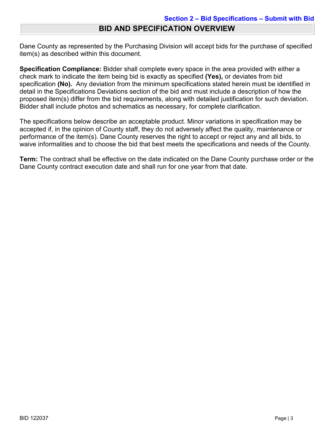Dane County as represented by the Purchasing Division will accept bids for the purchase of specified item(s) as described within this document.

**Specification Compliance:** Bidder shall complete every space in the area provided with either a check mark to indicate the item being bid is exactly as specified **(Yes),** or deviates from bid specification **(No).** Any deviation from the minimum specifications stated herein must be identified in detail in the Specifications Deviations section of the bid and must include a description of how the proposed item(s) differ from the bid requirements, along with detailed justification for such deviation. Bidder shall include photos and schematics as necessary, for complete clarification.

The specifications below describe an acceptable product. Minor variations in specification may be accepted if, in the opinion of County staff, they do not adversely affect the quality, maintenance or performance of the item(s). Dane County reserves the right to accept or reject any and all bids, to waive informalities and to choose the bid that best meets the specifications and needs of the County.

**Term:** The contract shall be effective on the date indicated on the Dane County purchase order or the Dane County contract execution date and shall run for one year from that date.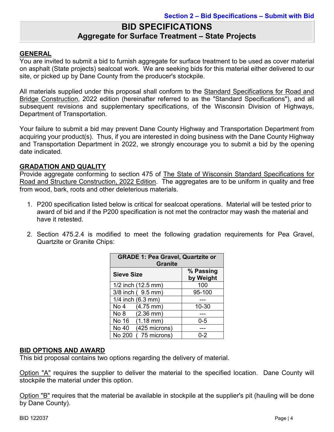### **BID SPECIFICATIONS Aggregate for Surface Treatment – State Projects**

#### **GENERAL**

You are invited to submit a bid to furnish aggregate for surface treatment to be used as cover material on asphalt (State projects) sealcoat work. We are seeking bids for this material either delivered to our site, or picked up by Dane County from the producer's stockpile.

All materials supplied under this proposal shall conform to the Standard Specifications for Road and Bridge Construction, 2022 edition (hereinafter referred to as the "Standard Specifications"), and all subsequent revisions and supplementary specifications, of the Wisconsin Division of Highways, Department of Transportation.

Your failure to submit a bid may prevent Dane County Highway and Transportation Department from acquiring your product(s). Thus, if you are interested in doing business with the Dane County Highway and Transportation Department in 2022, we strongly encourage you to submit a bid by the opening date indicated.

#### **GRADATION AND QUALITY**

Provide aggregate conforming to section 475 of The State of Wisconsin Standard Specifications for Road and Structure Construction, 2022 Edition. The aggregates are to be uniform in quality and free from wood, bark, roots and other deleterious materials.

- 1. P200 specification listed below is critical for sealcoat operations. Material will be tested prior to award of bid and if the P200 specification is not met the contractor may wash the material and have it retested.
- 2. Section 475.2.4 is modified to meet the following gradation requirements for Pea Gravel, Quartzite or Granite Chips:

| <b>GRADE 1: Pea Gravel, Quartzite or</b><br><b>Granite</b> |                        |  |  |  |
|------------------------------------------------------------|------------------------|--|--|--|
| <b>Sieve Size</b>                                          | % Passing<br>by Weight |  |  |  |
| 1/2 inch (12.5 mm)                                         | 100                    |  |  |  |
| 3/8 inch (9.5 mm)                                          | 95-100                 |  |  |  |
| 1/4 inch (6.3 mm)                                          |                        |  |  |  |
| $(4.75 \, \text{mm})$<br>No 4                              | 10-30                  |  |  |  |
| No 8<br>$(2.36 \text{ mm})$                                |                        |  |  |  |
| No 16 (1.18 mm)                                            | $0 - 5$                |  |  |  |
| (425 microns)<br>No 40                                     |                        |  |  |  |
| (75 microns)<br>No 200                                     | በ-2                    |  |  |  |

#### **BID OPTIONS AND AWARD**

This bid proposal contains two options regarding the delivery of material.

Option "A" requires the supplier to deliver the material to the specified location. Dane County will stockpile the material under this option.

Option "B" requires that the material be available in stockpile at the supplier's pit (hauling will be done by Dane County).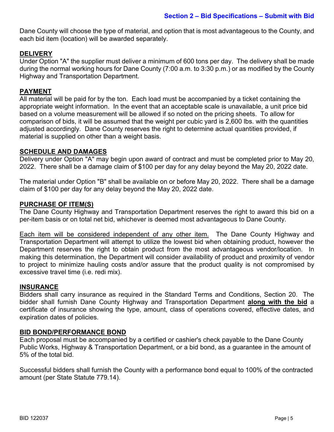Dane County will choose the type of material, and option that is most advantageous to the County, and each bid item (location) will be awarded separately.

#### **DELIVERY**

Under Option "A" the supplier must deliver a minimum of 600 tons per day. The delivery shall be made during the normal working hours for Dane County (7:00 a.m. to 3:30 p.m.) or as modified by the County Highway and Transportation Department.

#### **PAYMENT**

All material will be paid for by the ton. Each load must be accompanied by a ticket containing the appropriate weight information. In the event that an acceptable scale is unavailable, a unit price bid based on a volume measurement will be allowed if so noted on the pricing sheets. To allow for comparison of bids, it will be assumed that the weight per cubic yard is 2,600 lbs. with the quantities adjusted accordingly. Dane County reserves the right to determine actual quantities provided, if material is supplied on other than a weight basis.

#### **SCHEDULE AND DAMAGES**

Delivery under Option "A" may begin upon award of contract and must be completed prior to May 20, 2022. There shall be a damage claim of \$100 per day for any delay beyond the May 20, 2022 date.

The material under Option "B" shall be available on or before May 20, 2022. There shall be a damage claim of \$100 per day for any delay beyond the May 20, 2022 date.

#### **PURCHASE OF ITEM(S)**

The Dane County Highway and Transportation Department reserves the right to award this bid on a per-item basis or on total net bid, whichever is deemed most advantageous to Dane County.

Each item will be considered independent of any other item. The Dane County Highway and Transportation Department will attempt to utilize the lowest bid when obtaining product, however the Department reserves the right to obtain product from the most advantageous vendor/location. In making this determination, the Department will consider availability of product and proximity of vendor to project to minimize hauling costs and/or assure that the product quality is not compromised by excessive travel time (i.e. redi mix).

#### **INSURANCE**

Bidders shall carry insurance as required in the Standard Terms and Conditions, Section 20. The bidder shall furnish Dane County Highway and Transportation Department **along with the bid** a certificate of insurance showing the type, amount, class of operations covered, effective dates, and expiration dates of policies.

#### **BID BOND/PERFORMANCE BOND**

Each proposal must be accompanied by a certified or cashier's check payable to the Dane County Public Works, Highway & Transportation Department, or a bid bond, as a guarantee in the amount of 5% of the total bid.

Successful bidders shall furnish the County with a performance bond equal to 100% of the contracted amount (per State Statute 779.14).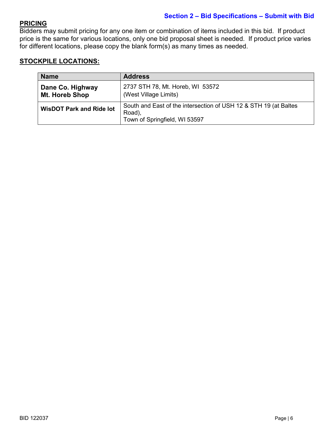#### **Section 2 – Bid Specifications – Submit with Bid**

#### **PRICING**

Bidders may submit pricing for any one item or combination of items included in this bid. If product price is the same for various locations, only one bid proposal sheet is needed. If product price varies for different locations, please copy the blank form(s) as many times as needed.

#### **STOCKPILE LOCATIONS:**

| <b>Name</b>                        | <b>Address</b>                                                                                              |
|------------------------------------|-------------------------------------------------------------------------------------------------------------|
| Dane Co. Highway<br>Mt. Horeb Shop | 2737 STH 78, Mt. Horeb, WI 53572<br>(West Village Limits)                                                   |
| <b>WisDOT Park and Ride lot</b>    | South and East of the intersection of USH 12 & STH 19 (at Baltes<br>Road),<br>Town of Springfield, WI 53597 |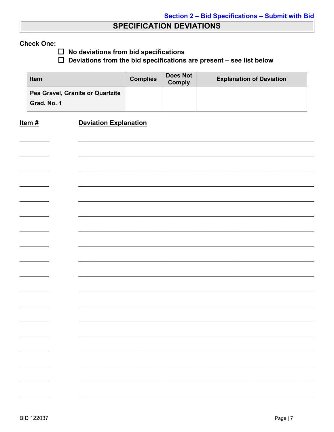### **SPECIFICATION DEVIATIONS**

#### **Check One:**

 $\square$  No deviations from bid specifications

 $\Box$  Deviations from the bid specifications are present - see list below

| <b>Item</b>                                     | <b>Complies</b> | Does Not<br><b>Comply</b> | <b>Explanation of Deviation</b> |
|-------------------------------------------------|-----------------|---------------------------|---------------------------------|
| Pea Gravel, Granite or Quartzite<br>Grad. No. 1 |                 |                           |                                 |

#### **Deviation Explanation** Item  $#$

| $\overline{\phantom{0}}$ |  |
|--------------------------|--|
|                          |  |
|                          |  |
|                          |  |
|                          |  |
|                          |  |
|                          |  |
|                          |  |
|                          |  |
|                          |  |
|                          |  |
|                          |  |
|                          |  |
|                          |  |
|                          |  |
|                          |  |
|                          |  |
|                          |  |
|                          |  |
|                          |  |
|                          |  |
|                          |  |
|                          |  |
|                          |  |
|                          |  |
|                          |  |
|                          |  |
|                          |  |
|                          |  |
|                          |  |
|                          |  |
|                          |  |
|                          |  |
|                          |  |
|                          |  |
|                          |  |
|                          |  |
|                          |  |
| $\overline{\phantom{0}}$ |  |
|                          |  |
|                          |  |
|                          |  |
|                          |  |
|                          |  |
|                          |  |
|                          |  |
|                          |  |
|                          |  |
|                          |  |
|                          |  |
|                          |  |
|                          |  |
|                          |  |
|                          |  |
|                          |  |
|                          |  |
|                          |  |
|                          |  |
|                          |  |
|                          |  |
|                          |  |
|                          |  |
|                          |  |
|                          |  |
|                          |  |
|                          |  |
|                          |  |
|                          |  |
|                          |  |
|                          |  |
|                          |  |
|                          |  |
|                          |  |
|                          |  |
|                          |  |
|                          |  |
|                          |  |
|                          |  |
|                          |  |
|                          |  |
|                          |  |
|                          |  |
|                          |  |
|                          |  |
|                          |  |
|                          |  |
|                          |  |
|                          |  |
|                          |  |
|                          |  |
|                          |  |
|                          |  |
|                          |  |
|                          |  |
|                          |  |
|                          |  |
|                          |  |
|                          |  |
|                          |  |
|                          |  |
|                          |  |
|                          |  |
|                          |  |
|                          |  |
|                          |  |
|                          |  |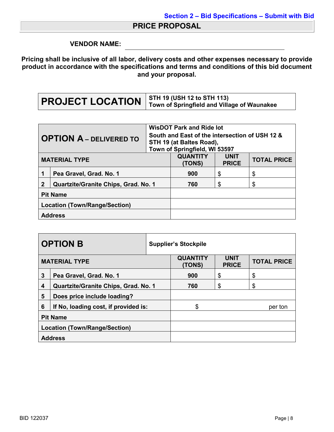### **PRICE PROPOSAL**

#### **VENDOR NAME:**

**Pricing shall be inclusive of all labor, delivery costs and other expenses necessary to provide product in accordance with the specifications and terms and conditions of this bid document and your proposal.**

| <b>OPTION A - DELIVERED TO</b>                      |                         | <b>WisDOT Park and Ride lot</b>                |                               |                    |    |
|-----------------------------------------------------|-------------------------|------------------------------------------------|-------------------------------|--------------------|----|
|                                                     |                         | South and East of the intersection of USH 12 & |                               |                    |    |
|                                                     |                         | STH 19 (at Baltes Road),                       |                               |                    |    |
|                                                     |                         |                                                | Town of Springfield, WI 53597 |                    |    |
| <b>MATERIAL TYPE</b>                                |                         | <b>QUANTITY</b>                                | <b>UNIT</b>                   | <b>TOTAL PRICE</b> |    |
|                                                     |                         |                                                | (TONS)                        | <b>PRICE</b>       |    |
|                                                     | Pea Gravel, Grad. No. 1 |                                                | 900                           | \$                 | \$ |
| $\mathbf 2$<br>Quartzite/Granite Chips, Grad. No. 1 |                         | 760                                            | \$                            | \$                 |    |
| <b>Pit Name</b>                                     |                         |                                                |                               |                    |    |
| Location (Town/Range/Section)                       |                         |                                                |                               |                    |    |
| <b>Address</b>                                      |                         |                                                |                               |                    |    |

| <b>OPTION B</b>                      |                                             | <b>Supplier's Stockpile</b> |                           |                             |                    |
|--------------------------------------|---------------------------------------------|-----------------------------|---------------------------|-----------------------------|--------------------|
| <b>MATERIAL TYPE</b>                 |                                             |                             | <b>QUANTITY</b><br>(TONS) | <b>UNIT</b><br><b>PRICE</b> | <b>TOTAL PRICE</b> |
| 3                                    | Pea Gravel, Grad. No. 1                     |                             | 900                       | \$                          | \$                 |
| 4                                    | <b>Quartzite/Granite Chips, Grad. No. 1</b> |                             | 760                       | \$                          | \$                 |
| 5                                    | Does price include loading?                 |                             |                           |                             |                    |
| 6                                    | If No, loading cost, if provided is:        |                             | \$                        |                             | per ton            |
| <b>Pit Name</b>                      |                                             |                             |                           |                             |                    |
| <b>Location (Town/Range/Section)</b> |                                             |                             |                           |                             |                    |
| <b>Address</b>                       |                                             |                             |                           |                             |                    |